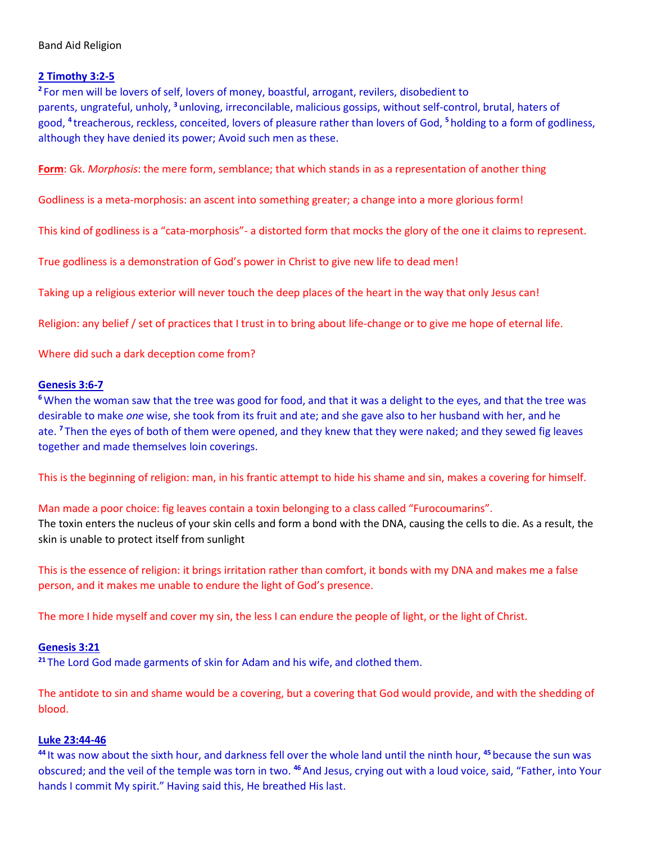# **2 Timothy 3:2-5**

**2** For men will be lovers of self, lovers of money, boastful, arrogant, revilers, disobedient to parents, ungrateful, unholy, **<sup>3</sup>** unloving, irreconcilable, malicious gossips, without self-control, brutal, haters of good, **<sup>4</sup>** treacherous, reckless, conceited, lovers of pleasure rather than lovers of God, **<sup>5</sup>** holding to a form of godliness, although they have denied its power; Avoid such men as these.

**Form**: Gk. *Morphosis*: the mere form, semblance; that which stands in as a representation of another thing

Godliness is a meta-morphosis: an ascent into something greater; a change into a more glorious form!

This kind of godliness is a "cata-morphosis"- a distorted form that mocks the glory of the one it claims to represent.

True godliness is a demonstration of God's power in Christ to give new life to dead men!

Taking up a religious exterior will never touch the deep places of the heart in the way that only Jesus can!

Religion: any belief / set of practices that I trust in to bring about life-change or to give me hope of eternal life.

Where did such a dark deception come from?

## **Genesis 3:6-7**

**<sup>6</sup>**When the woman saw that the tree was good for food, and that it was a delight to the eyes, and that the tree was desirable to make *one* wise, she took from its fruit and ate; and she gave also to her husband with her, and he ate. **<sup>7</sup>** Then the eyes of both of them were opened, and they knew that they were naked; and they sewed fig leaves together and made themselves loin coverings.

This is the beginning of religion: man, in his frantic attempt to hide his shame and sin, makes a covering for himself.

Man made a poor choice: fig leaves contain a toxin belonging to a class called "Furocoumarins". The toxin enters the nucleus of your skin cells and form a bond with the DNA, causing the cells to die. As a result, the skin is unable to protect itself from sunlight

This is the essence of religion: it brings irritation rather than comfort, it bonds with my DNA and makes me a false person, and it makes me unable to endure the light of God's presence.

The more I hide myself and cover my sin, the less I can endure the people of light, or the light of Christ.

## **Genesis 3:21**

**<sup>21</sup>** The Lord God made garments of skin for Adam and his wife, and clothed them.

The antidote to sin and shame would be a covering, but a covering that God would provide, and with the shedding of blood.

## **Luke 23:44-46**

**<sup>44</sup>** It was now about the sixth hour, and darkness fell over the whole land until the ninth hour, **<sup>45</sup>** because the sun was obscured; and the veil of the temple was torn in two. **<sup>46</sup>**And Jesus, crying out with a loud voice, said, "Father, into Your hands I commit My spirit." Having said this, He breathed His last.